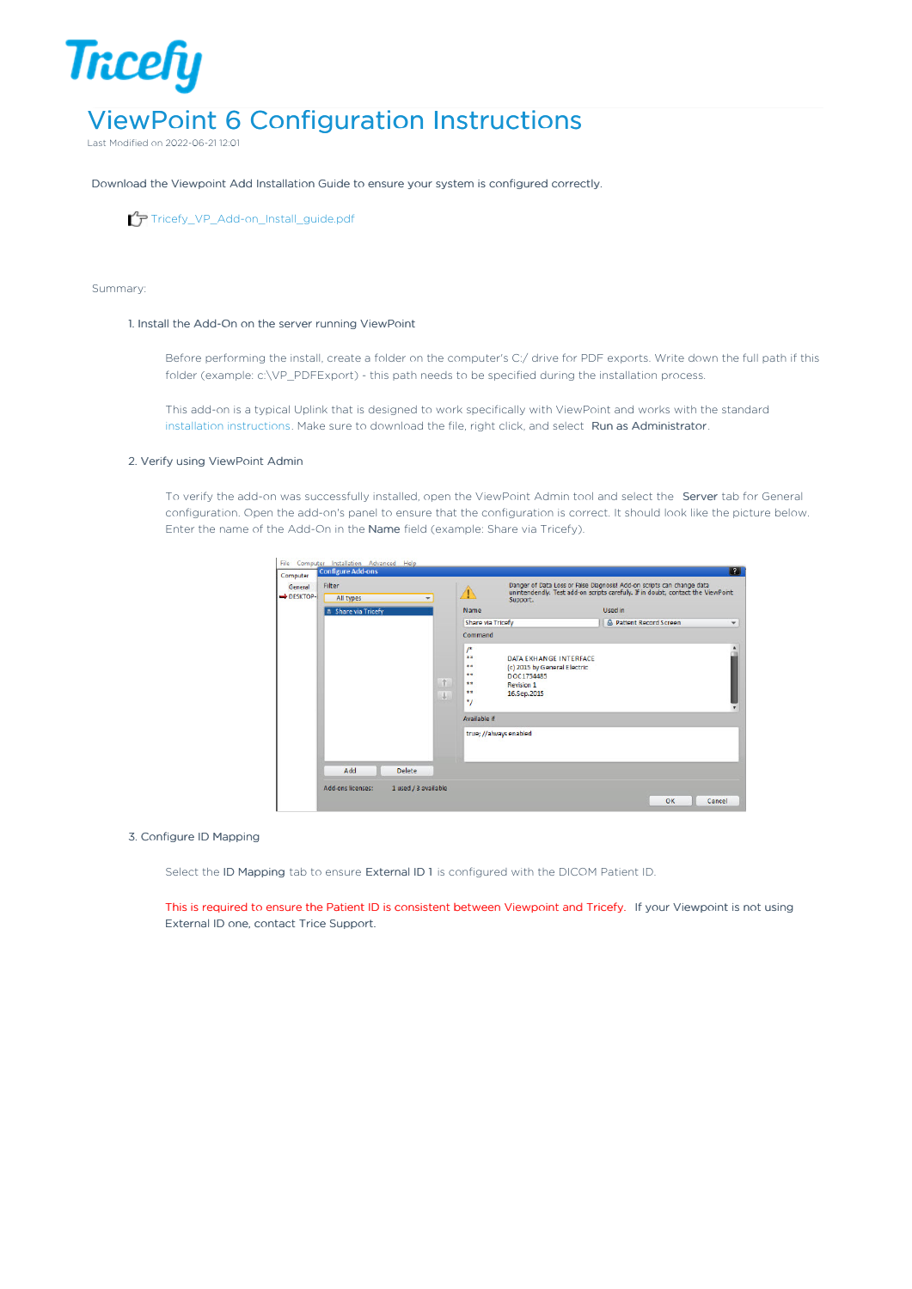# **Tricefy** ViewPoint 6 Configuration Instructions

Last Modified on 2022-06-21 12:01

Download the Viewpoint Add Installation Guide to ensure your system is configured correctly.

[Tricefy\\_VP\\_Add-on\\_Install\\_guide.pdf](https://dyzz9obi78pm5.cloudfront.net/app/image/id/5c50bec16e121c5f537a6bf7/n/tricefy-vp-add-on-install-guide.pdf)

### Summary:

## 1. Install the Add-On on the server running ViewPoint

Before performing the install, create a folder on the computer's C:/ drive for PDF exports. Write down the full path if this folder (example: c:\VP\_PDFExport) - this path needs to be specified during the installation process.

This add-on is a typical Uplink that is designed to work specifically with ViewPoint and works with the standard installation [instructions](http://www.tricefy.help/help/advanced). Make sure to download the file, right click, and select Run as Administrator.

## 2. Verify using ViewPoint Admin

To verify the add-on was successfully installed, open the ViewPoint Admin tool and select the Server tab for General configuration. Open the add-on's panel to ensure that the configuration is correct. It should look like the picture below. Enter the name of the Add-On in the Name field (example: Share via Tricefy).

| General<br>DESKTOP- | Filter<br>All types<br>$\overline{\phantom{a}}$ |        | Support.                                                                                                             | Danger of Data Loss or False Diagnosis! Add-on scripts can change data<br>unintendendly. Test add-on scripts carefully. If in doubt, contact the ViewPoint |              |  |  |
|---------------------|-------------------------------------------------|--------|----------------------------------------------------------------------------------------------------------------------|------------------------------------------------------------------------------------------------------------------------------------------------------------|--------------|--|--|
|                     | <b>Share via Tricefy</b>                        |        | Name                                                                                                                 | Used in                                                                                                                                                    |              |  |  |
|                     |                                                 |        | Share via Tricefy                                                                                                    | A Patient Record Screen                                                                                                                                    | $\checkmark$ |  |  |
|                     |                                                 |        |                                                                                                                      | Command                                                                                                                                                    |              |  |  |
|                     |                                                 | 个<br>y | $\prime^*$<br>女文<br>**<br>**<br>DOC1754485<br>4.9<br><b>Revision 1</b><br>$+ +$<br>16.Sep.2015<br>*/<br>Available if | DATA EXHANGE INTERFACE<br>(c) 2015 by General Electric                                                                                                     |              |  |  |
|                     |                                                 |        |                                                                                                                      |                                                                                                                                                            |              |  |  |
|                     | Add<br>Delete                                   |        | true; //always enabled                                                                                               |                                                                                                                                                            |              |  |  |

## 3. Configure ID Mapping

Select the ID Mapping tab to ensure External ID 1 is configured with the DICOM Patient ID.

This is required to ensure the Patient ID is consistent between Viewpoint and Tricefy. If your Viewpoint is not using External ID one, contact Trice Support.